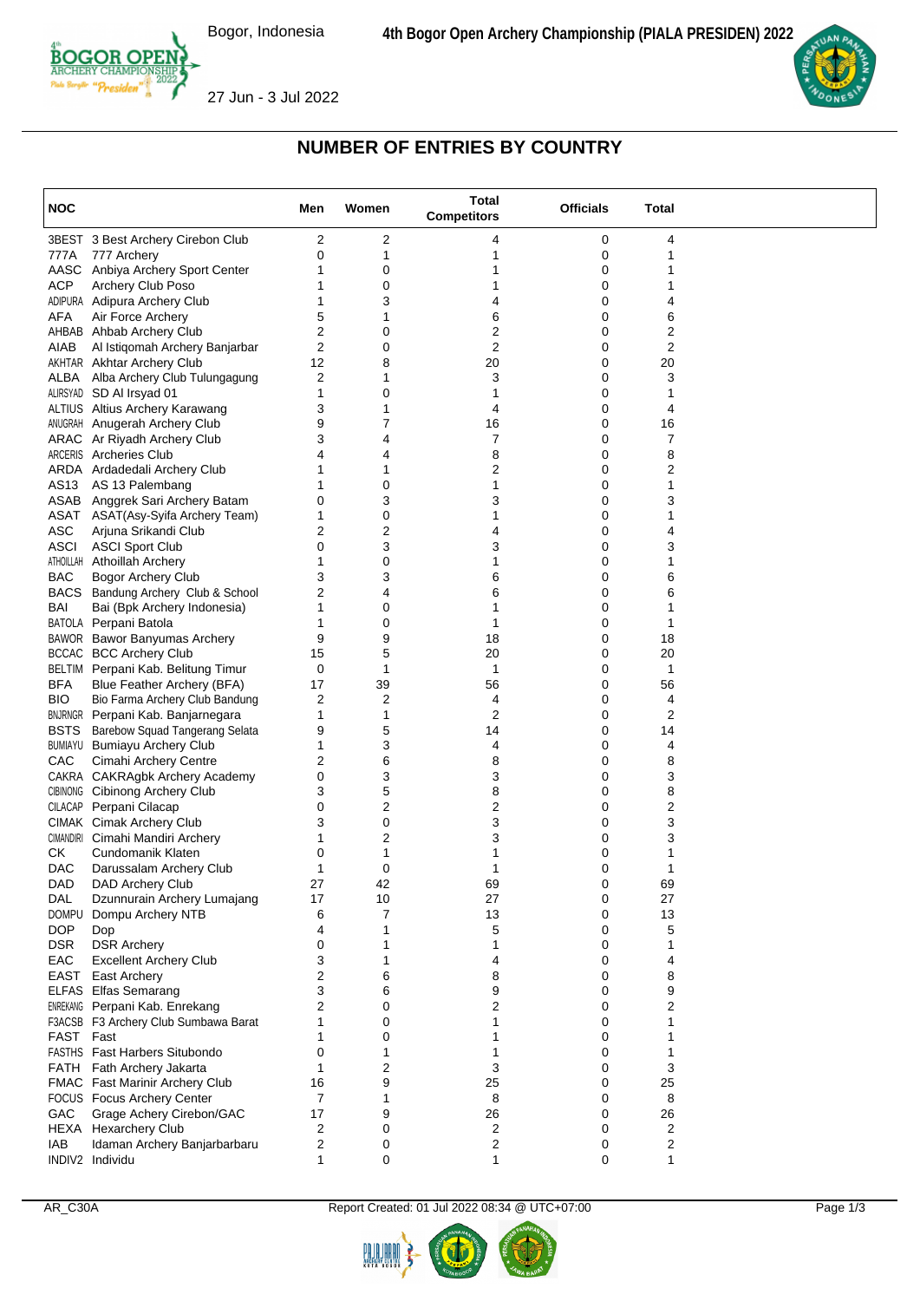

27 Jun - 3 Jul 2022



## **NUMBER OF ENTRIES BY COUNTRY**

| <b>NOC</b>  |                                                                  | Men     | Women  | <b>Total</b><br><b>Competitors</b> | <b>Officials</b> | Total   |  |
|-------------|------------------------------------------------------------------|---------|--------|------------------------------------|------------------|---------|--|
|             | 3BEST 3 Best Archery Cirebon Club                                | 2       | 2      | 4                                  | 0                | 4       |  |
| 777A        | 777 Archery                                                      | 0       | 1      | 1                                  | 0                | 1       |  |
|             | AASC Anbiya Archery Sport Center                                 | 1       | 0      | 1                                  | 0                |         |  |
| <b>ACP</b>  | Archery Club Poso                                                | 1       | 0      | 1                                  | 0                |         |  |
|             | ADIPURA Adipura Archery Club                                     | 1       | 3      | 4                                  | 0                | 4       |  |
| AFA         | Air Force Archery                                                | 5       | 1      | 6                                  | 0                | 6       |  |
|             | AHBAB Ahbab Archery Club                                         | 2       | 0      | 2                                  | 0                | 2       |  |
| AIAB        | Al Istiqomah Archery Banjarbar                                   | 2       | 0      | 2                                  | 0                | 2       |  |
|             | AKHTAR Akhtar Archery Club<br>ALBA Alba Archery Club Tulungagung | 12<br>2 | 8<br>1 | 20<br>3                            | 0<br>0           | 20<br>3 |  |
|             | ALIRSYAD SD AI Irsyad 01                                         | 1       | 0      | 1                                  | 0                | 1       |  |
|             | ALTIUS Altius Archery Karawang                                   | 3       | 1      | 4                                  | 0                | 4       |  |
|             | ANUGRAH Anugerah Archery Club                                    | 9       | 7      | 16                                 | 0                | 16      |  |
|             | ARAC Ar Riyadh Archery Club                                      | 3       | 4      | 7                                  | 0                | 7       |  |
|             | ARCERIS Archeries Club                                           | 4       | 4      | 8                                  | 0                | 8       |  |
|             | ARDA Ardadedali Archery Club                                     | 1       | 1      | 2                                  | 0                | 2       |  |
|             | AS13 AS 13 Palembang                                             | 1       | 0      | 1                                  | 0                | 1       |  |
|             | ASAB Anggrek Sari Archery Batam                                  | 0       | 3      | 3                                  | 0                | 3       |  |
|             | ASAT ASAT(Asy-Syifa Archery Team)                                | 1       | 0      | 1                                  | 0                |         |  |
| <b>ASC</b>  | Arjuna Srikandi Club                                             | 2       | 2      | 4                                  | 0                | 4       |  |
| ASCI        | <b>ASCI Sport Club</b>                                           | 0       | 3      | 3                                  | 0                | 3       |  |
|             | ATHOILLAH Athoillah Archery                                      | 1       | 0      | 1                                  | 0                |         |  |
| <b>BAC</b>  | Bogor Archery Club<br>BACS Bandung Archery Club & School         | 3<br>2  | 3<br>4 | 6<br>6                             | 0<br>0           | 6<br>6  |  |
| BAI         | Bai (Bpk Archery Indonesia)                                      | 1       | 0      | 1                                  | 0                |         |  |
|             | BATOLA Perpani Batola                                            | 1       | 0      | 1                                  | 0                | 1       |  |
|             | BAWOR Bawor Banyumas Archery                                     | 9       | 9      | 18                                 | 0                | 18      |  |
|             | <b>BCCAC BCC Archery Club</b>                                    | 15      | 5      | 20                                 | 0                | 20      |  |
|             | BELTIM Perpani Kab. Belitung Timur                               | 0       | 1      | 1                                  | 0                | 1       |  |
| <b>BFA</b>  | Blue Feather Archery (BFA)                                       | 17      | 39     | 56                                 | 0                | 56      |  |
| BIO.        | Bio Farma Archery Club Bandung                                   | 2       | 2      | 4                                  | 0                | 4       |  |
|             | <b>BNJRNGR</b> Perpani Kab. Banjarnegara                         | 1       | 1      | 2                                  | 0                | 2       |  |
| <b>BSTS</b> | Barebow Squad Tangerang Selata                                   | 9       | 5      | 14                                 | 0                | 14      |  |
|             | <b>BUMIAYU Bumiayu Archery Club</b>                              | 1       | 3      | 4                                  | 0                | 4       |  |
| CAC         | Cimahi Archery Centre                                            | 2       | 6      | 8                                  | 0                | 8       |  |
|             | CAKRA CAKRAgbk Archery Academy                                   | 0       | 3      | 3                                  | 0                | 3       |  |
|             | CIBINONG Cibinong Archery Club                                   | 3       | 5      | 8                                  | 0                | 8       |  |
|             | CILACAP Perpani Cilacap<br><b>CIMAK Cimak Archery Club</b>       | 0<br>3  | 2<br>0 | 2<br>3                             | 0<br>0           | 2<br>3  |  |
|             | CIMANDIRI Cimahi Mandiri Archery                                 | 1       | 2      | 3                                  | 0                | 3       |  |
| СK          | Cundomanik Klaten                                                | 0       | 1      | 1                                  | 0                |         |  |
| <b>DAC</b>  | Darussalam Archery Club                                          | 1       | 0      | 1                                  | 0                |         |  |
| DAD         | DAD Archery Club                                                 | 27      | 42     | 69                                 | 0                | 69      |  |
| DAL         | Dzunnurain Archery Lumajang                                      | 17      | 10     | 27                                 | 0                | 27      |  |
|             | DOMPU Dompu Archery NTB                                          | 6       | 7      | 13                                 | 0                | 13      |  |
| <b>DOP</b>  | Dop                                                              | 4       | 1      | 5                                  | 0                | 5       |  |
| <b>DSR</b>  | <b>DSR Archery</b>                                               | 0       | 1      | 1                                  | 0                |         |  |
| EAC         | <b>Excellent Archery Club</b>                                    | 3       |        | 4                                  | 0                | 4       |  |
|             | EAST East Archery                                                | 2       | 6      | 8                                  | 0                | 8       |  |
|             | ELFAS Elfas Semarang                                             | 3       | 6      | 9                                  | 0                | 9       |  |
|             | <b>ENREKANG</b> Perpani Kab. Enrekang                            | 2       | 0      | 2                                  | 0                | 2       |  |
|             | F3ACSB F3 Archery Club Sumbawa Barat                             |         | 0      | 1                                  | 0                |         |  |
| FAST Fast   | <b>FASTHS</b> Fast Harbers Situbondo                             | 1<br>0  | 0      | 1<br>1                             | 0<br>0           |         |  |
|             | FATH Fath Archery Jakarta                                        | 1       | 2      | 3                                  | 0                | 3       |  |
|             | FMAC Fast Marinir Archery Club                                   | 16      | 9      | 25                                 | 0                | 25      |  |
|             | FOCUS Focus Archery Center                                       | 7       |        | 8                                  | 0                | 8       |  |
| GAC         | Grage Achery Cirebon/GAC                                         | 17      | 9      | 26                                 | 0                | 26      |  |
|             | HEXA Hexarchery Club                                             | 2       | 0      | 2                                  | 0                | 2       |  |
| IAB         | Idaman Archery Banjarbarbaru                                     | 2       | 0      | 2                                  | 0                | 2       |  |
|             | INDIV2 Individu                                                  | 1       | 0      | 1                                  | 0                | 1       |  |

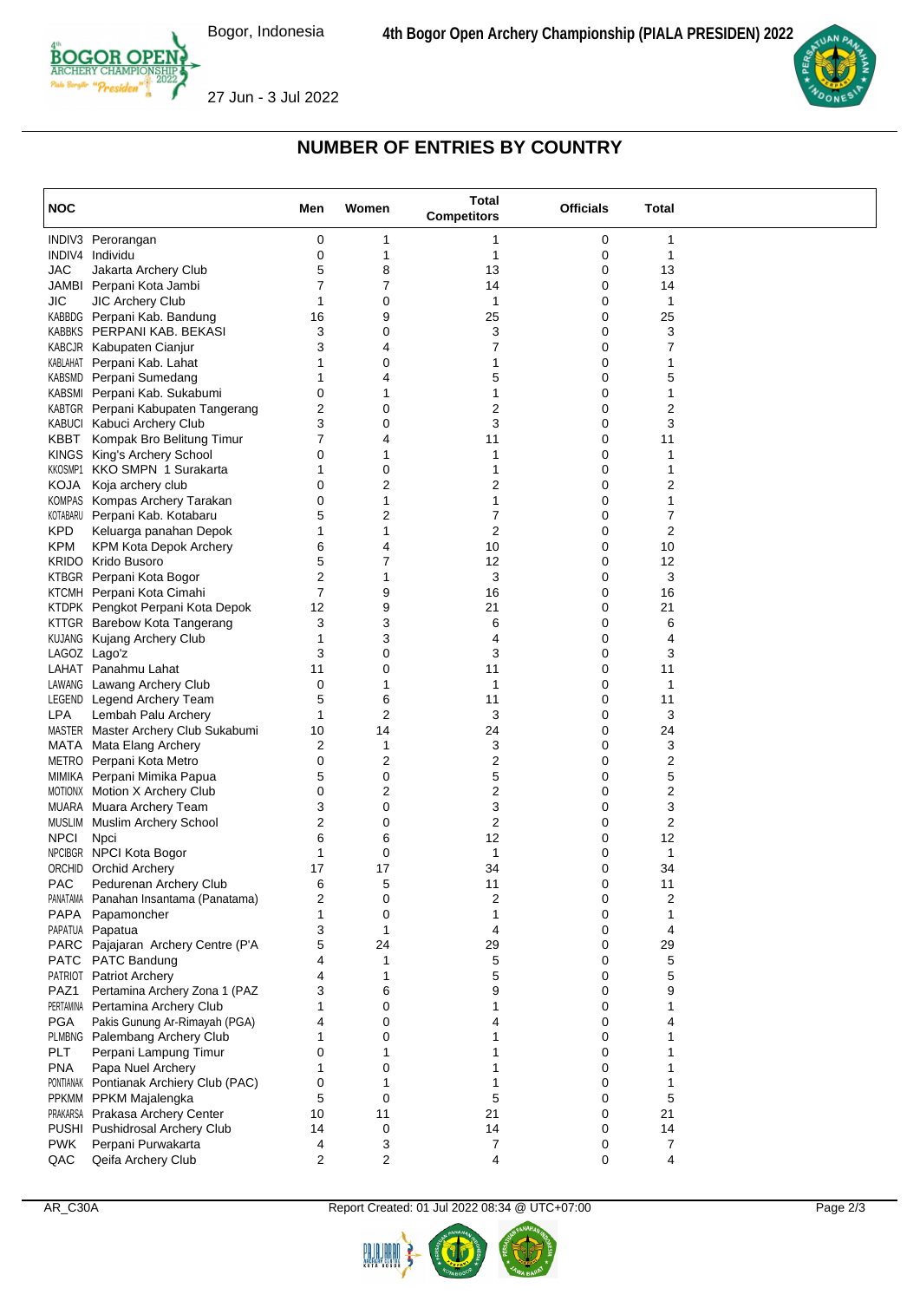

27 Jun - 3 Jul 2022



## **NUMBER OF ENTRIES BY COUNTRY**

| <b>NOC</b>   |                                                              | Men            | Women  | <b>Total</b><br><b>Competitors</b> | <b>Officials</b> | Total   |  |
|--------------|--------------------------------------------------------------|----------------|--------|------------------------------------|------------------|---------|--|
|              | INDIV3 Perorangan                                            | 0              | 1      | 1                                  | 0                | 1       |  |
|              | INDIV4 Individu                                              | 0              | 1      | 1                                  | 0                | 1       |  |
| <b>JAC</b>   | Jakarta Archery Club                                         | 5              | 8      | 13                                 | 0                | 13      |  |
|              | JAMBI Perpani Kota Jambi                                     | $\overline{7}$ | 7      | 14                                 | 0                | 14      |  |
| JIC          | <b>JIC Archery Club</b>                                      | 1              | 0      | 1                                  | 0                | 1       |  |
|              | KABBDG Perpani Kab. Bandung<br>KABBKS PERPANI KAB. BEKASI    | 16<br>3        | 9<br>0 | 25<br>3                            | 0<br>0           | 25<br>3 |  |
|              | KABCJR Kabupaten Cianjur                                     | 3              | 4      | 7                                  | 0                | 7       |  |
|              | KABLAHAT Perpani Kab. Lahat                                  | 1              | 0      | 1                                  | 0                | 1       |  |
|              | KABSMD Perpani Sumedang                                      | 1              | 4      | 5                                  | 0                | 5       |  |
|              | KABSMI Perpani Kab. Sukabumi                                 | 0              | 1      | 1                                  | 0                | 1       |  |
|              | KABTGR Perpani Kabupaten Tangerang                           | 2              | 0      | 2                                  | 0                | 2       |  |
|              | KABUCI Kabuci Archery Club                                   | 3              | 0      | 3                                  | 0                | 3       |  |
| KBBT         | Kompak Bro Belitung Timur                                    | 7              | 4      | 11                                 | 0                | 11      |  |
|              | KINGS King's Archery School                                  | 0              | 1      | 1                                  | 0                | 1       |  |
|              | KKOSMP1 KKO SMPN 1 Surakarta                                 | 1              | 0      | 1                                  | 0                | 1       |  |
| KOJA         | Koja archery club                                            | 0              | 2      | 2                                  | 0                | 2       |  |
|              | KOMPAS Kompas Archery Tarakan                                | 0              | 1      | 1                                  | 0                | 1       |  |
|              | KOTABARU Perpani Kab. Kotabaru                               | 5              | 2      | 7                                  | 0                | 7       |  |
| <b>KPD</b>   | Keluarga panahan Depok                                       | 1<br>6         | 1<br>4 | $\overline{2}$<br>10               | 0<br>0           | 2<br>10 |  |
| KPM          | KPM Kota Depok Archery<br><b>KRIDO</b> Krido Busoro          | 5              | 7      | 12                                 | 0                | 12      |  |
|              | KTBGR Perpani Kota Bogor                                     | 2              | 1      | 3                                  | 0                | 3       |  |
|              | KTCMH Perpani Kota Cimahi                                    | 7              | 9      | 16                                 | 0                | 16      |  |
|              | KTDPK Pengkot Perpani Kota Depok                             | 12             | 9      | 21                                 | 0                | 21      |  |
|              | KTTGR Barebow Kota Tangerang                                 | 3              | 3      | 6                                  | 0                | 6       |  |
|              | <b>KUJANG</b> Kujang Archery Club                            | 1              | 3      | 4                                  | 0                | 4       |  |
|              | LAGOZ Lago'z                                                 | 3              | 0      | 3                                  | 0                | 3       |  |
|              | LAHAT Panahmu Lahat                                          | 11             | 0      | 11                                 | 0                | 11      |  |
|              | LAWANG Lawang Archery Club                                   | 0              | 1      | 1                                  | 0                | 1       |  |
|              | LEGEND Legend Archery Team                                   | 5              | 6      | 11                                 | 0                | 11      |  |
| <b>LPA</b>   | Lembah Palu Archery                                          | 1              | 2      | 3                                  | 0                | 3       |  |
|              | MASTER Master Archery Club Sukabumi                          | 10             | 14     | 24                                 | 0                | 24      |  |
|              | MATA Mata Elang Archery                                      | 2              | 1      | 3                                  | 0                | 3       |  |
|              | METRO Perpani Kota Metro                                     | 0<br>5         | 2<br>0 | 2<br>5                             | 0<br>0           | 2<br>5  |  |
|              | MIMIKA Perpani Mimika Papua<br>MOTIONX Motion X Archery Club | 0              | 2      | 2                                  | 0                | 2       |  |
|              | MUARA Muara Archery Team                                     | 3              | 0      | 3                                  | 0                | 3       |  |
|              | MUSLIM Muslim Archery School                                 | 2              | 0      | 2                                  | 0                | 2       |  |
| <b>NPCI</b>  | Npci                                                         | 6              | 6      | 12                                 | 0                | 12      |  |
|              | NPCIBGR NPCI Kota Bogor                                      | 1              | 0      | 1                                  | 0                | 1       |  |
|              | ORCHID Orchid Archery                                        | 17             | 17     | 34                                 | 0                | 34      |  |
| <b>PAC</b>   | Pedurenan Archery Club                                       | 6              | 5      | 11                                 | $\Omega$         | 11      |  |
|              | PANATAMA Panahan Insantama (Panatama)                        | 2              | 0      | 2                                  | 0                | 2       |  |
| PAPA         | Papamoncher                                                  | 1              | 0      | 1                                  | 0                | 1       |  |
|              | PAPATUA Papatua                                              | 3              | 1      | 4                                  | 0                | 4       |  |
|              | PARC Pajajaran Archery Centre (P'A                           | 5              | 24     | 29                                 | 0                | 29      |  |
| PATC         | PATC Bandung<br>PATRIOT Patriot Archery                      | 4<br>4         | 1<br>1 | 5                                  | 0<br>0           | 5<br>5  |  |
| PAZ1         | Pertamina Archery Zona 1 (PAZ                                | 3              | 6      | 5<br>9                             | 0                | 9       |  |
|              | PERTAMINA Pertamina Archery Club                             | 1              | 0      |                                    | 0                |         |  |
| <b>PGA</b>   | Pakis Gunung Ar-Rimayah (PGA)                                | 4              | 0      | 4                                  | 0                | 4       |  |
|              | PLMBNG Palembang Archery Club                                | 1              | 0      |                                    | 0                |         |  |
| <b>PLT</b>   | Perpani Lampung Timur                                        | 0              | 1      | 1                                  | 0                |         |  |
| <b>PNA</b>   | Papa Nuel Archery                                            | 1              | 0      | 1                                  | 0                |         |  |
|              | PONTIANAK Pontianak Archiery Club (PAC)                      | 0              | 1      | 1                                  | 0                | 1       |  |
| <b>PPKMM</b> | PPKM Majalengka                                              | 5              | 0      | 5                                  | 0                | 5       |  |
|              | PRAKARSA Prakasa Archery Center                              | 10             | 11     | 21                                 | 0                | 21      |  |
| PUSHI        | <b>Pushidrosal Archery Club</b>                              | 14             | 0      | 14                                 | 0                | 14      |  |
| <b>PWK</b>   | Perpani Purwakarta                                           | 4              | 3      | 7                                  | 0                | 7       |  |
| QAC          | Qeifa Archery Club                                           | 2              | 2      | 4                                  | 0                | 4       |  |